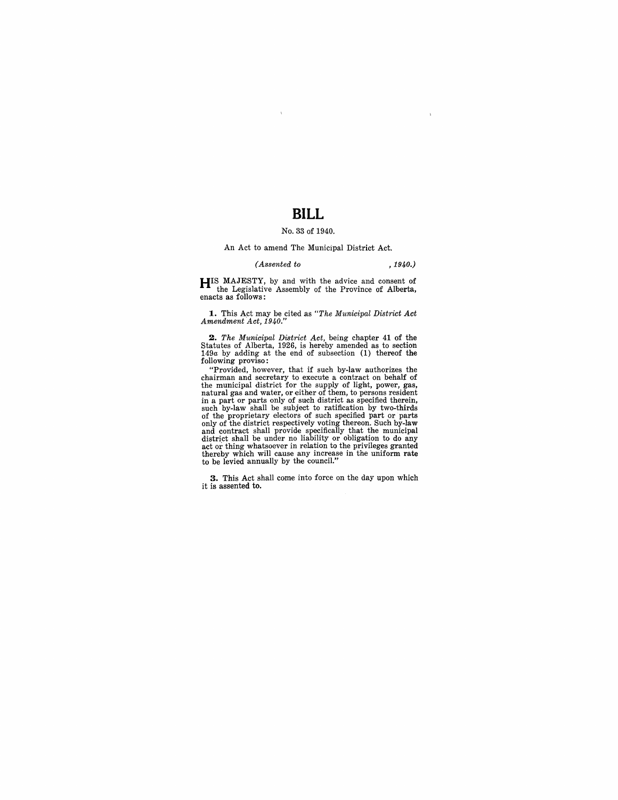## **BILL**

## No. 33 of 1940.

#### An Act to amend The Municipal District Act.

### *(Assented to , 1940.)*

**HIS** MAJESTY, by and with the advice and consent of the Legislative Assembly of the Province of Alberta, enacts as follows:

**1.** This Act may be cited as "The Municipal District Act Amendment Act, 1940."

2. *The Municipal District Act*, being chapter 41 of the Statutes of Alberta, 1926, is hereby amended as to section 149*a* by adding at the end of subsection (1) thereof the following proviso:

"Provided, however, that if such by-law authorizes the chairman and secretary to execute a contract on behalf of the municipal district for the supply of light, power, gas, natural gas and water, or either of them, to pers in a part or parts only of such district as specified therein,<br>such by-law shall be subject to ratification by two-thirds<br>of the proprietary electors of such specified part or parts<br>only of the district respectively voting thereby which will cause any increase in the uniform rate to be levied annually by the council."

**3.** This Act shall come into force on the day upon which it is assented to.